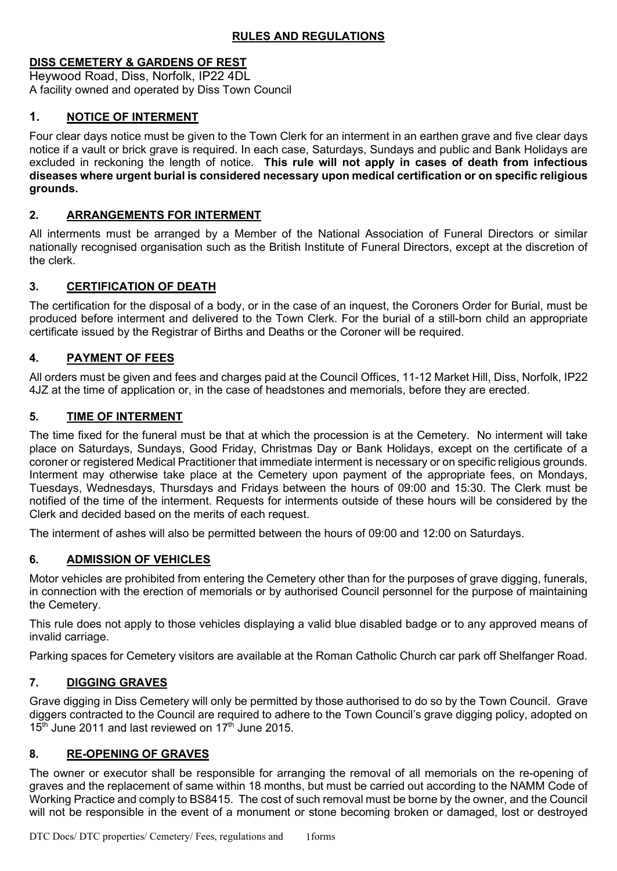# **DISS CEMETERY & GARDENS OF REST**

Heywood Road, Diss, Norfolk, IP22 4DL A facility owned and operated by Diss Town Council

# **1. NOTICE OF INTERMENT**

Four clear days notice must be given to the Town Clerk for an interment in an earthen grave and five clear days notice if a vault or brick grave is required. In each case, Saturdays, Sundays and public and Bank Holidays are excluded in reckoning the length of notice. **This rule will not apply in cases of death from infectious diseases where urgent burial is considered necessary upon medical certification or on specific religious grounds.**

### **2. ARRANGEMENTS FOR INTERMENT**

All interments must be arranged by a Member of the National Association of Funeral Directors or similar nationally recognised organisation such as the British Institute of Funeral Directors, except at the discretion of the clerk.

# **3. CERTIFICATION OF DEATH**

The certification for the disposal of a body, or in the case of an inquest, the Coroners Order for Burial, must be produced before interment and delivered to the Town Clerk. For the burial of a still-born child an appropriate certificate issued by the Registrar of Births and Deaths or the Coroner will be required.

# **4. PAYMENT OF FEES**

All orders must be given and fees and charges paid at the Council Offices, 11-12 Market Hill, Diss, Norfolk, IP22 4JZ at the time of application or, in the case of headstones and memorials, before they are erected.

# **5. TIME OF INTERMENT**

The time fixed for the funeral must be that at which the procession is at the Cemetery. No interment will take place on Saturdays, Sundays, Good Friday, Christmas Day or Bank Holidays, except on the certificate of a coroner or registered Medical Practitioner that immediate interment is necessary or on specific religious grounds. Interment may otherwise take place at the Cemetery upon payment of the appropriate fees, on Mondays, Tuesdays, Wednesdays, Thursdays and Fridays between the hours of 09:00 and 15:30. The Clerk must be notified of the time of the interment. Requests for interments outside of these hours will be considered by the Clerk and decided based on the merits of each request.

The interment of ashes will also be permitted between the hours of 09:00 and 12:00 on Saturdays.

# **6. ADMISSION OF VEHICLES**

Motor vehicles are prohibited from entering the Cemetery other than for the purposes of grave digging, funerals, in connection with the erection of memorials or by authorised Council personnel for the purpose of maintaining the Cemetery.

This rule does not apply to those vehicles displaying a valid blue disabled badge or to any approved means of invalid carriage.

Parking spaces for Cemetery visitors are available at the Roman Catholic Church car park off Shelfanger Road.

# **7. DIGGING GRAVES**

Grave digging in Diss Cemetery will only be permitted by those authorised to do so by the Town Council. Grave diggers contracted to the Council are required to adhere to the Town Council's grave digging policy, adopted on  $15<sup>th</sup>$  June 2011 and last reviewed on 17<sup>th</sup> June 2015.

### **8. RE-OPENING OF GRAVES**

The owner or executor shall be responsible for arranging the removal of all memorials on the re-opening of graves and the replacement of same within 18 months, but must be carried out according to the NAMM Code of Working Practice and comply to BS8415. The cost of such removal must be borne by the owner, and the Council will not be responsible in the event of a monument or stone becoming broken or damaged, lost or destroyed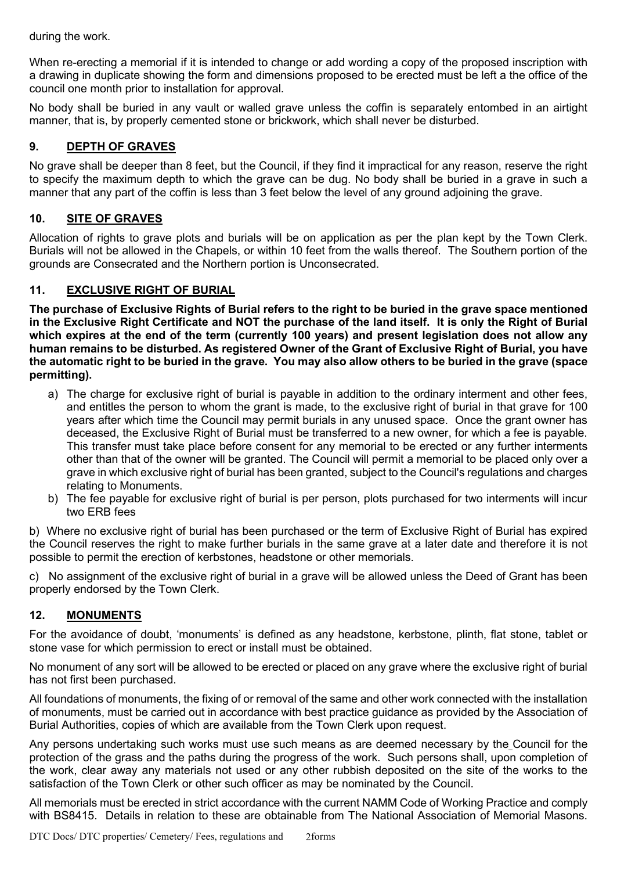during the work.

When re-erecting a memorial if it is intended to change or add wording a copy of the proposed inscription with a drawing in duplicate showing the form and dimensions proposed to be erected must be left a the office of the council one month prior to installation for approval.

No body shall be buried in any vault or walled grave unless the coffin is separately entombed in an airtight manner, that is, by properly cemented stone or brickwork, which shall never be disturbed.

### **9. DEPTH OF GRAVES**

No grave shall be deeper than 8 feet, but the Council, if they find it impractical for any reason, reserve the right to specify the maximum depth to which the grave can be dug. No body shall be buried in a grave in such a manner that any part of the coffin is less than 3 feet below the level of any ground adjoining the grave.

### **10. SITE OF GRAVES**

Allocation of rights to grave plots and burials will be on application as per the plan kept by the Town Clerk. Burials will not be allowed in the Chapels, or within 10 feet from the walls thereof. The Southern portion of the grounds are Consecrated and the Northern portion is Unconsecrated.

#### **11. EXCLUSIVE RIGHT OF BURIAL**

**The purchase of Exclusive Rights of Burial refers to the right to be buried in the grave space mentioned in the Exclusive Right Certificate and NOT the purchase of the land itself. It is only the Right of Burial which expires at the end of the term (currently 100 years) and present legislation does not allow any human remains to be disturbed. As registered Owner of the Grant of Exclusive Right of Burial, you have the automatic right to be buried in the grave. You may also allow others to be buried in the grave (space permitting).**

- a) The charge for exclusive right of burial is payable in addition to the ordinary interment and other fees, and entitles the person to whom the grant is made, to the exclusive right of burial in that grave for 100 years after which time the Council may permit burials in any unused space. Once the grant owner has deceased, the Exclusive Right of Burial must be transferred to a new owner, for which a fee is payable. This transfer must take place before consent for any memorial to be erected or any further interments other than that of the owner will be granted. The Council will permit a memorial to be placed only over a grave in which exclusive right of burial has been granted, subject to the Council's regulations and charges relating to Monuments.
- b) The fee payable for exclusive right of burial is per person, plots purchased for two interments will incur two ERB fees

b) Where no exclusive right of burial has been purchased or the term of Exclusive Right of Burial has expired the Council reserves the right to make further burials in the same grave at a later date and therefore it is not possible to permit the erection of kerbstones, headstone or other memorials.

c) No assignment of the exclusive right of burial in a grave will be allowed unless the Deed of Grant has been properly endorsed by the Town Clerk.

### **12. MONUMENTS**

For the avoidance of doubt, 'monuments' is defined as any headstone, kerbstone, plinth, flat stone, tablet or stone vase for which permission to erect or install must be obtained.

No monument of any sort will be allowed to be erected or placed on any grave where the exclusive right of burial has not first been purchased.

All foundations of monuments, the fixing of or removal of the same and other work connected with the installation of monuments, must be carried out in accordance with best practice guidance as provided by the Association of Burial Authorities, copies of which are available from the Town Clerk upon request.

Any persons undertaking such works must use such means as are deemed necessary by the Council for the protection of the grass and the paths during the progress of the work. Such persons shall, upon completion of the work, clear away any materials not used or any other rubbish deposited on the site of the works to the satisfaction of the Town Clerk or other such officer as may be nominated by the Council.

All memorials must be erected in strict accordance with the current NAMM Code of Working Practice and comply with BS8415. Details in relation to these are obtainable from The National Association of Memorial Masons.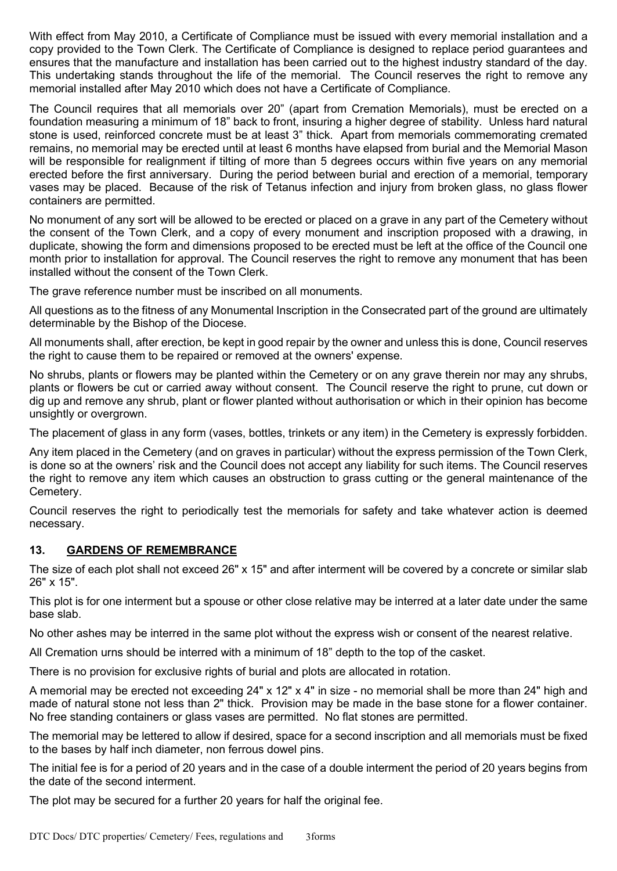With effect from May 2010, a Certificate of Compliance must be issued with every memorial installation and a copy provided to the Town Clerk. The Certificate of Compliance is designed to replace period guarantees and ensures that the manufacture and installation has been carried out to the highest industry standard of the day. This undertaking stands throughout the life of the memorial. The Council reserves the right to remove any memorial installed after May 2010 which does not have a Certificate of Compliance.

The Council requires that all memorials over 20" (apart from Cremation Memorials), must be erected on a foundation measuring a minimum of 18" back to front, insuring a higher degree of stability. Unless hard natural stone is used, reinforced concrete must be at least 3" thick. Apart from memorials commemorating cremated remains, no memorial may be erected until at least 6 months have elapsed from burial and the Memorial Mason will be responsible for realignment if tilting of more than 5 degrees occurs within five years on any memorial erected before the first anniversary. During the period between burial and erection of a memorial, temporary vases may be placed. Because of the risk of Tetanus infection and injury from broken glass, no glass flower containers are permitted.

No monument of any sort will be allowed to be erected or placed on a grave in any part of the Cemetery without the consent of the Town Clerk, and a copy of every monument and inscription proposed with a drawing, in duplicate, showing the form and dimensions proposed to be erected must be left at the office of the Council one month prior to installation for approval. The Council reserves the right to remove any monument that has been installed without the consent of the Town Clerk.

The grave reference number must be inscribed on all monuments.

All questions as to the fitness of any Monumental Inscription in the Consecrated part of the ground are ultimately determinable by the Bishop of the Diocese.

All monuments shall, after erection, be kept in good repair by the owner and unless this is done, Council reserves the right to cause them to be repaired or removed at the owners' expense.

No shrubs, plants or flowers may be planted within the Cemetery or on any grave therein nor may any shrubs, plants or flowers be cut or carried away without consent. The Council reserve the right to prune, cut down or dig up and remove any shrub, plant or flower planted without authorisation or which in their opinion has become unsightly or overgrown.

The placement of glass in any form (vases, bottles, trinkets or any item) in the Cemetery is expressly forbidden.

Any item placed in the Cemetery (and on graves in particular) without the express permission of the Town Clerk, is done so at the owners' risk and the Council does not accept any liability for such items. The Council reserves the right to remove any item which causes an obstruction to grass cutting or the general maintenance of the Cemetery.

Council reserves the right to periodically test the memorials for safety and take whatever action is deemed necessary.

### **13. GARDENS OF REMEMBRANCE**

The size of each plot shall not exceed 26" x 15" and after interment will be covered by a concrete or similar slab 26" x 15".

This plot is for one interment but a spouse or other close relative may be interred at a later date under the same base slab.

No other ashes may be interred in the same plot without the express wish or consent of the nearest relative.

All Cremation urns should be interred with a minimum of 18" depth to the top of the casket.

There is no provision for exclusive rights of burial and plots are allocated in rotation.

A memorial may be erected not exceeding 24" x 12" x 4" in size - no memorial shall be more than 24" high and made of natural stone not less than 2" thick. Provision may be made in the base stone for a flower container. No free standing containers or glass vases are permitted. No flat stones are permitted.

The memorial may be lettered to allow if desired, space for a second inscription and all memorials must be fixed to the bases by half inch diameter, non ferrous dowel pins.

The initial fee is for a period of 20 years and in the case of a double interment the period of 20 years begins from the date of the second interment.

The plot may be secured for a further 20 years for half the original fee.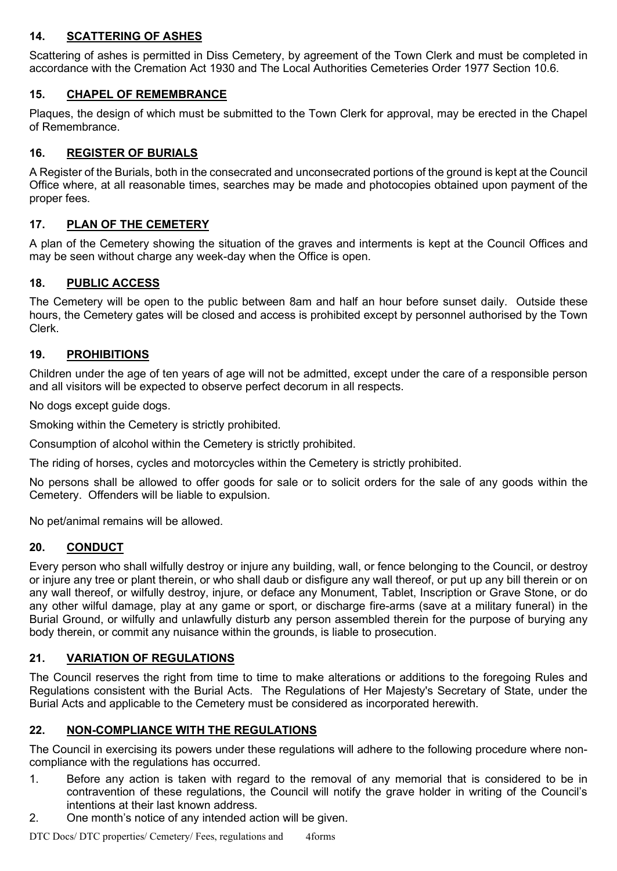# **14. SCATTERING OF ASHES**

Scattering of ashes is permitted in Diss Cemetery, by agreement of the Town Clerk and must be completed in accordance with the Cremation Act 1930 and The Local Authorities Cemeteries Order 1977 Section 10.6.

# **15. CHAPEL OF REMEMBRANCE**

Plaques, the design of which must be submitted to the Town Clerk for approval, may be erected in the Chapel of Remembrance.

# **16. REGISTER OF BURIALS**

A Register of the Burials, both in the consecrated and unconsecrated portions of the ground is kept at the Council Office where, at all reasonable times, searches may be made and photocopies obtained upon payment of the proper fees.

# **17. PLAN OF THE CEMETERY**

A plan of the Cemetery showing the situation of the graves and interments is kept at the Council Offices and may be seen without charge any week-day when the Office is open.

### **18. PUBLIC ACCESS**

The Cemetery will be open to the public between 8am and half an hour before sunset daily. Outside these hours, the Cemetery gates will be closed and access is prohibited except by personnel authorised by the Town Clerk.

### **19. PROHIBITIONS**

Children under the age of ten years of age will not be admitted, except under the care of a responsible person and all visitors will be expected to observe perfect decorum in all respects.

No dogs except guide dogs.

Smoking within the Cemetery is strictly prohibited.

Consumption of alcohol within the Cemetery is strictly prohibited.

The riding of horses, cycles and motorcycles within the Cemetery is strictly prohibited.

No persons shall be allowed to offer goods for sale or to solicit orders for the sale of any goods within the Cemetery. Offenders will be liable to expulsion.

No pet/animal remains will be allowed.

### **20. CONDUCT**

Every person who shall wilfully destroy or injure any building, wall, or fence belonging to the Council, or destroy or injure any tree or plant therein, or who shall daub or disfigure any wall thereof, or put up any bill therein or on any wall thereof, or wilfully destroy, injure, or deface any Monument, Tablet, Inscription or Grave Stone, or do any other wilful damage, play at any game or sport, or discharge fire-arms (save at a military funeral) in the Burial Ground, or wilfully and unlawfully disturb any person assembled therein for the purpose of burying any body therein, or commit any nuisance within the grounds, is liable to prosecution.

### **21. VARIATION OF REGULATIONS**

The Council reserves the right from time to time to make alterations or additions to the foregoing Rules and Regulations consistent with the Burial Acts. The Regulations of Her Majesty's Secretary of State, under the Burial Acts and applicable to the Cemetery must be considered as incorporated herewith.

### **22. NON-COMPLIANCE WITH THE REGULATIONS**

The Council in exercising its powers under these regulations will adhere to the following procedure where noncompliance with the regulations has occurred.

- 1. Before any action is taken with regard to the removal of any memorial that is considered to be in contravention of these regulations, the Council will notify the grave holder in writing of the Council's intentions at their last known address.
- 2. One month's notice of any intended action will be given.

DTC Docs/ DTC properties/ Cemetery/ Fees, regulations and 4forms